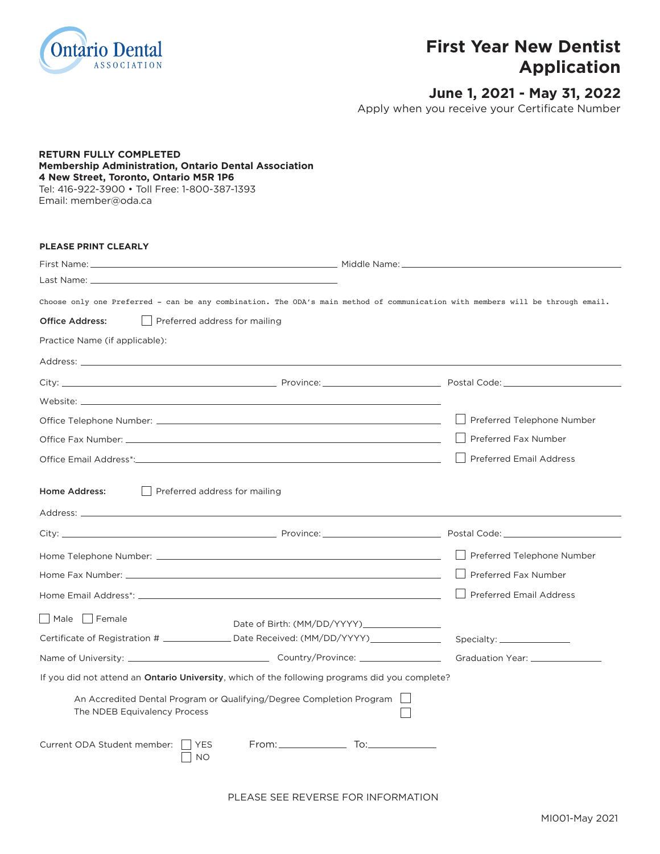

# **First Year New Dentist Application**

# **June 1, 2021 - May 31, 2022**

Apply when you receive your Certificate Number

| <b>RETURN FULLY COMPLETED</b><br><b>Membership Administration, Ontario Dental Association</b><br>4 New Street, Toronto, Ontario M5R 1P6<br>Tel: 416-922-3900 · Toll Free: 1-800-387-1393<br>Email: member@oda.ca |                                                                                                                                |                               |
|------------------------------------------------------------------------------------------------------------------------------------------------------------------------------------------------------------------|--------------------------------------------------------------------------------------------------------------------------------|-------------------------------|
| <b>PLEASE PRINT CLEARLY</b>                                                                                                                                                                                      |                                                                                                                                |                               |
|                                                                                                                                                                                                                  |                                                                                                                                |                               |
|                                                                                                                                                                                                                  |                                                                                                                                |                               |
|                                                                                                                                                                                                                  | Choose only one Preferred - can be any combination. The ODA's main method of communication with members will be through email. |                               |
| <b>Office Address:</b>                                                                                                                                                                                           | Preferred address for mailing                                                                                                  |                               |
| Practice Name (if applicable):                                                                                                                                                                                   |                                                                                                                                |                               |
|                                                                                                                                                                                                                  |                                                                                                                                |                               |
|                                                                                                                                                                                                                  |                                                                                                                                |                               |
|                                                                                                                                                                                                                  |                                                                                                                                |                               |
|                                                                                                                                                                                                                  |                                                                                                                                | Preferred Telephone Number    |
|                                                                                                                                                                                                                  |                                                                                                                                | Preferred Fax Number          |
|                                                                                                                                                                                                                  |                                                                                                                                | Preferred Email Address       |
| Home Address:<br>    Preferred address for mailing                                                                                                                                                               |                                                                                                                                |                               |
|                                                                                                                                                                                                                  |                                                                                                                                | Preferred Telephone Number    |
|                                                                                                                                                                                                                  |                                                                                                                                | Preferred Fax Number          |
|                                                                                                                                                                                                                  |                                                                                                                                | Preferred Email Address       |
| Male     Female                                                                                                                                                                                                  | Date of Birth: (MM/DD/YYYY)                                                                                                    |                               |
|                                                                                                                                                                                                                  | Certificate of Registration # __________________ Date Received: (MM/DD/YYYY)________________________                           |                               |
|                                                                                                                                                                                                                  |                                                                                                                                | Graduation Year: ____________ |
|                                                                                                                                                                                                                  | If you did not attend an Ontario University, which of the following programs did you complete?                                 |                               |
| The NDEB Equivalency Process                                                                                                                                                                                     | An Accredited Dental Program or Qualifying/Degree Completion Program                                                           |                               |
| Current ODA Student member:<br>I I YES<br><b>NO</b>                                                                                                                                                              |                                                                                                                                |                               |